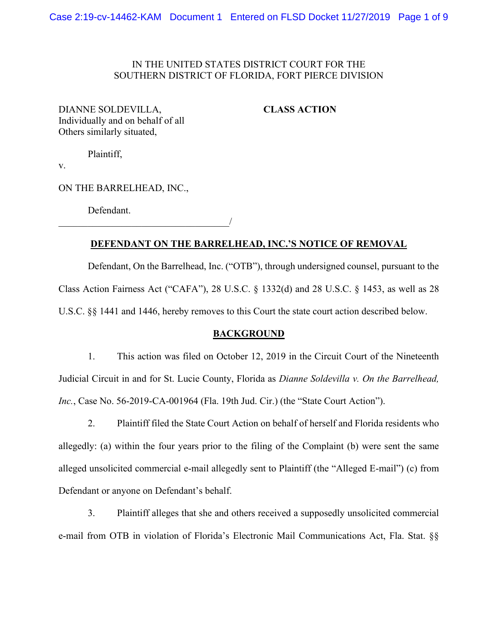## IN THE UNITED STATES DISTRICT COURT FOR THE SOUTHERN DISTRICT OF FLORIDA, FORT PIERCE DIVISION

DIANNE SOLDEVILLA, **CLASS ACTION** Individually and on behalf of all Others similarly situated,

Plaintiff,

v.

ON THE BARRELHEAD, INC.,

Defendant.

 $\overline{\phantom{a}}$ 

# **DEFENDANT ON THE BARRELHEAD, INC.'S NOTICE OF REMOVAL**

Defendant, On the Barrelhead, Inc. ("OTB"), through undersigned counsel, pursuant to the Class Action Fairness Act ("CAFA"), 28 U.S.C. § 1332(d) and 28 U.S.C. § 1453, as well as 28 U.S.C. §§ 1441 and 1446, hereby removes to this Court the state court action described below.

#### **BACKGROUND**

1. This action was filed on October 12, 2019 in the Circuit Court of the Nineteenth Judicial Circuit in and for St. Lucie County, Florida as *Dianne Soldevilla v. On the Barrelhead, Inc.*, Case No. 56-2019-CA-001964 (Fla. 19th Jud. Cir.) (the "State Court Action").

2. Plaintiff filed the State Court Action on behalf of herself and Florida residents who allegedly: (a) within the four years prior to the filing of the Complaint (b) were sent the same alleged unsolicited commercial e-mail allegedly sent to Plaintiff (the "Alleged E-mail") (c) from Defendant or anyone on Defendant's behalf.

3. Plaintiff alleges that she and others received a supposedly unsolicited commercial e-mail from OTB in violation of Florida's Electronic Mail Communications Act, Fla. Stat. §§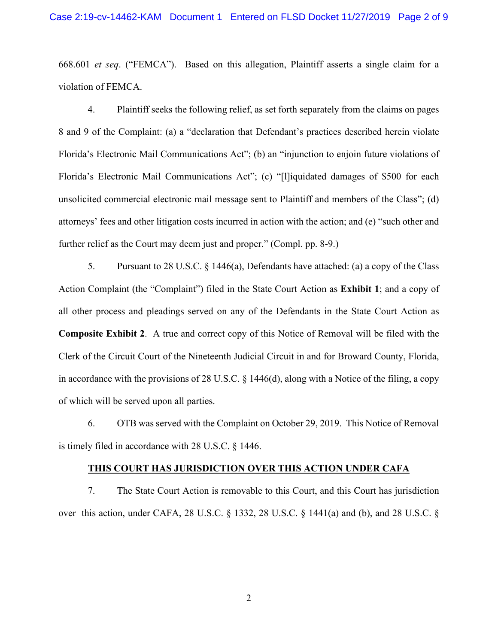668.601 *et seq*. ("FEMCA"). Based on this allegation, Plaintiff asserts a single claim for a violation of FEMCA.

4. Plaintiff seeks the following relief, as set forth separately from the claims on pages 8 and 9 of the Complaint: (a) a "declaration that Defendant's practices described herein violate Florida's Electronic Mail Communications Act"; (b) an "injunction to enjoin future violations of Florida's Electronic Mail Communications Act"; (c) "[l]iquidated damages of \$500 for each unsolicited commercial electronic mail message sent to Plaintiff and members of the Class"; (d) attorneys' fees and other litigation costs incurred in action with the action; and (e) "such other and further relief as the Court may deem just and proper." (Compl. pp. 8-9.)

5. Pursuant to 28 U.S.C. § 1446(a), Defendants have attached: (a) a copy of the Class Action Complaint (the "Complaint") filed in the State Court Action as **Exhibit 1**; and a copy of all other process and pleadings served on any of the Defendants in the State Court Action as **Composite Exhibit 2**. A true and correct copy of this Notice of Removal will be filed with the Clerk of the Circuit Court of the Nineteenth Judicial Circuit in and for Broward County, Florida, in accordance with the provisions of 28 U.S.C. § 1446(d), along with a Notice of the filing, a copy of which will be served upon all parties.

6. OTB was served with the Complaint on October 29, 2019. This Notice of Removal is timely filed in accordance with 28 U.S.C. § 1446.

#### **THIS COURT HAS JURISDICTION OVER THIS ACTION UNDER CAFA**

7. The State Court Action is removable to this Court, and this Court has jurisdiction over this action, under CAFA, 28 U.S.C. § 1332, 28 U.S.C. § 1441(a) and (b), and 28 U.S.C. §

2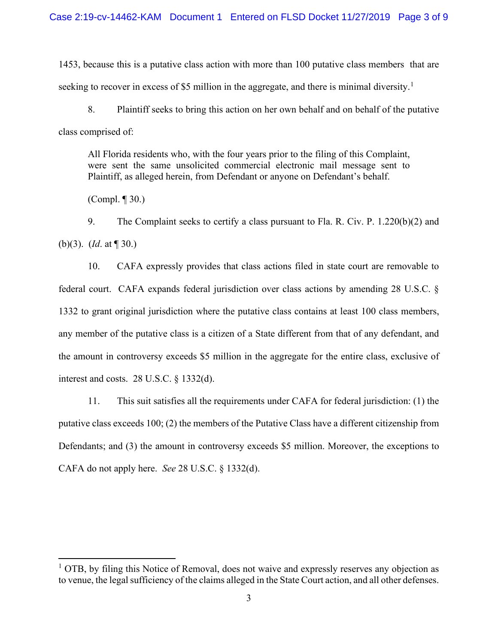1453, because this is a putative class action with more than 100 putative class members that are seeking to recover in excess of \$5 million in the aggregate, and there is minimal diversity.<sup>[1](#page-2-0)</sup>

8. Plaintiff seeks to bring this action on her own behalf and on behalf of the putative class comprised of:

All Florida residents who, with the four years prior to the filing of this Complaint, were sent the same unsolicited commercial electronic mail message sent to Plaintiff, as alleged herein, from Defendant or anyone on Defendant's behalf.

(Compl. ¶ 30.)

9. The Complaint seeks to certify a class pursuant to Fla. R. Civ. P. 1.220(b)(2) and (b)(3). (*Id*. at ¶ 30.)

10. CAFA expressly provides that class actions filed in state court are removable to federal court. CAFA expands federal jurisdiction over class actions by amending 28 U.S.C. § 1332 to grant original jurisdiction where the putative class contains at least 100 class members, any member of the putative class is a citizen of a State different from that of any defendant, and the amount in controversy exceeds \$5 million in the aggregate for the entire class, exclusive of interest and costs. 28 U.S.C. § 1332(d).

11. This suit satisfies all the requirements under CAFA for federal jurisdiction: (1) the putative class exceeds 100; (2) the members of the Putative Class have a different citizenship from Defendants; and (3) the amount in controversy exceeds \$5 million. Moreover, the exceptions to CAFA do not apply here. *See* 28 U.S.C. § 1332(d).

<span id="page-2-0"></span> $<sup>1</sup>$  OTB, by filing this Notice of Removal, does not waive and expressly reserves any objection as</sup> to venue, the legal sufficiency of the claims alleged in the State Court action, and all other defenses.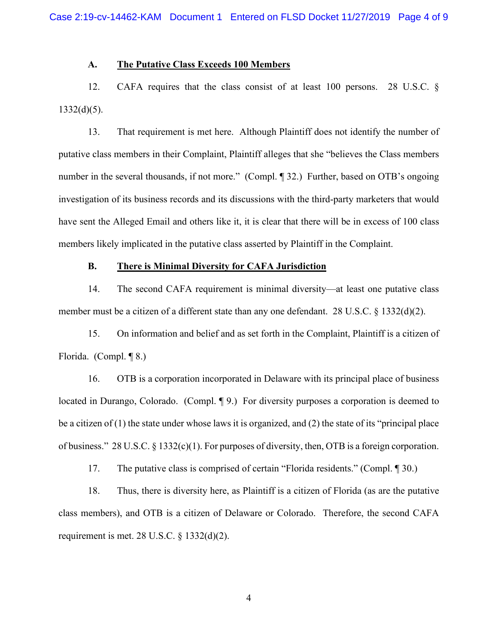#### **A. The Putative Class Exceeds 100 Members**

12. CAFA requires that the class consist of at least 100 persons. 28 U.S.C. §  $1332(d)(5)$ .

13. That requirement is met here. Although Plaintiff does not identify the number of putative class members in their Complaint, Plaintiff alleges that she "believes the Class members number in the several thousands, if not more." (Compl. 1932.) Further, based on OTB's ongoing investigation of its business records and its discussions with the third-party marketers that would have sent the Alleged Email and others like it, it is clear that there will be in excess of 100 class members likely implicated in the putative class asserted by Plaintiff in the Complaint.

## **B. There is Minimal Diversity for CAFA Jurisdiction**

14. The second CAFA requirement is minimal diversity—at least one putative class member must be a citizen of a different state than any one defendant. 28 U.S.C. § 1332(d)(2).

15. On information and belief and as set forth in the Complaint, Plaintiff is a citizen of Florida. (Compl. ¶ 8.)

16. OTB is a corporation incorporated in Delaware with its principal place of business located in Durango, Colorado. (Compl. ¶ 9.) For diversity purposes a corporation is deemed to be a citizen of (1) the state under whose laws it is organized, and (2) the state of its "principal place of business." 28 U.S.C. § 1332(c)(1). For purposes of diversity, then, OTB is a foreign corporation.

17. The putative class is comprised of certain "Florida residents." (Compl. ¶ 30.)

18. Thus, there is diversity here, as Plaintiff is a citizen of Florida (as are the putative class members), and OTB is a citizen of Delaware or Colorado. Therefore, the second CAFA requirement is met. 28 U.S.C.  $\S$  1332(d)(2).

4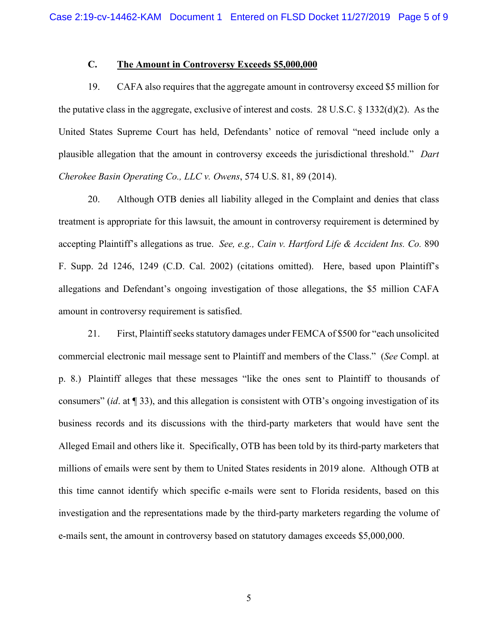## **C. The Amount in Controversy Exceeds \$5,000,000**

19. CAFA also requires that the aggregate amount in controversy exceed \$5 million for the putative class in the aggregate, exclusive of interest and costs. 28 U.S.C. § 1332(d)(2). As the United States Supreme Court has held, Defendants' notice of removal "need include only a plausible allegation that the amount in controversy exceeds the jurisdictional threshold." *Dart Cherokee Basin Operating Co., LLC v. Owens*, 574 U.S. 81, 89 (2014).

20. Although OTB denies all liability alleged in the Complaint and denies that class treatment is appropriate for this lawsuit, the amount in controversy requirement is determined by accepting Plaintiff's allegations as true. *See, e.g., Cain v. Hartford Life & Accident Ins. Co.* 890 F. Supp. 2d 1246, 1249 (C.D. Cal. 2002) (citations omitted). Here, based upon Plaintiff's allegations and Defendant's ongoing investigation of those allegations, the \$5 million CAFA amount in controversy requirement is satisfied.

21. First, Plaintiff seeks statutory damages under FEMCA of \$500 for "each unsolicited commercial electronic mail message sent to Plaintiff and members of the Class." (*See* Compl. at p. 8.) Plaintiff alleges that these messages "like the ones sent to Plaintiff to thousands of consumers" (*id*. at ¶ 33), and this allegation is consistent with OTB's ongoing investigation of its business records and its discussions with the third-party marketers that would have sent the Alleged Email and others like it. Specifically, OTB has been told by its third-party marketers that millions of emails were sent by them to United States residents in 2019 alone. Although OTB at this time cannot identify which specific e-mails were sent to Florida residents, based on this investigation and the representations made by the third-party marketers regarding the volume of e-mails sent, the amount in controversy based on statutory damages exceeds \$5,000,000.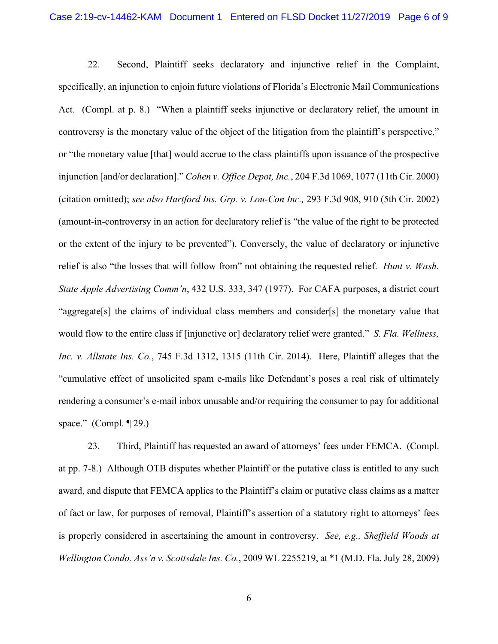22. Second, Plaintiff seeks declaratory and injunctive relief in the Complaint, specifically, an injunction to enjoin future violations of Florida's Electronic Mail Communications Act. (Compl. at p. 8.) "When a plaintiff seeks injunctive or declaratory relief, the amount in controversy is the monetary value of the object of the litigation from the plaintiff's perspective," or "the monetary value [that] would accrue to the class plaintiffs upon issuance of the prospective injunction [and/or declaration]." *Cohen v. Office Depot, Inc.*, 204 F.3d 1069, 1077 (11th Cir. 2000) (citation omitted); *see also Hartford Ins. Grp. v. Lou-Con Inc.,* 293 F.3d 908, 910 (5th Cir. 2002) (amount-in-controversy in an action for declaratory relief is "the value of the right to be protected or the extent of the injury to be prevented"). Conversely, the value of declaratory or injunctive relief is also "the losses that will follow from" not obtaining the requested relief. *Hunt v. Wash. State Apple Advertising Comm'n*, 432 U.S. 333, 347 (1977). For CAFA purposes, a district court "aggregate[s] the claims of individual class members and consider[s] the monetary value that would flow to the entire class if [injunctive or] declaratory relief were granted." *S. Fla. Wellness, Inc. v. Allstate Ins. Co.*, 745 F.3d 1312, 1315 (11th Cir. 2014). Here, Plaintiff alleges that the "cumulative effect of unsolicited spam e-mails like Defendant's poses a real risk of ultimately rendering a consumer's e-mail inbox unusable and/or requiring the consumer to pay for additional space." (Compl. ¶ 29.)

23. Third, Plaintiff has requested an award of attorneys' fees under FEMCA. (Compl. at pp. 7-8.) Although OTB disputes whether Plaintiff or the putative class is entitled to any such award, and dispute that FEMCA applies to the Plaintiff's claim or putative class claims as a matter of fact or law, for purposes of removal, Plaintiff's assertion of a statutory right to attorneys' fees is properly considered in ascertaining the amount in controversy. *See, e.g., Sheffield Woods at Wellington Condo. Ass'n v. Scottsdale Ins. Co.*, 2009 WL 2255219, at \*1 (M.D. Fla. July 28, 2009)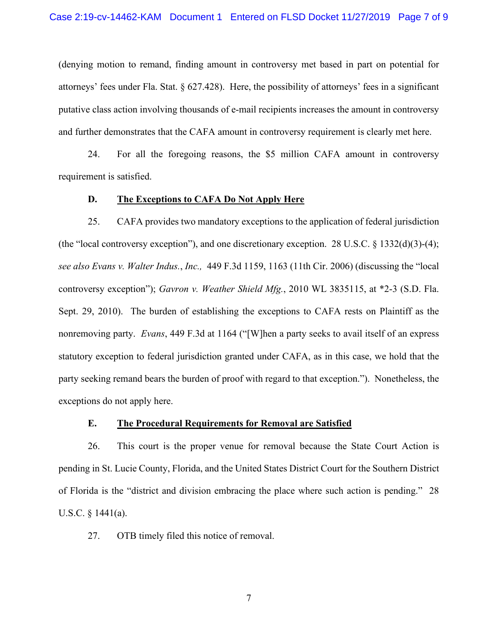(denying motion to remand, finding amount in controversy met based in part on potential for attorneys' fees under Fla. Stat. § 627.428). Here, the possibility of attorneys' fees in a significant putative class action involving thousands of e-mail recipients increases the amount in controversy and further demonstrates that the CAFA amount in controversy requirement is clearly met here.

24. For all the foregoing reasons, the \$5 million CAFA amount in controversy requirement is satisfied.

#### **D. The Exceptions to CAFA Do Not Apply Here**

25. CAFA provides two mandatory exceptions to the application of federal jurisdiction (the "local controversy exception"), and one discretionary exception. 28 U.S.C. § 1332(d)(3)-(4); *see also Evans v. Walter Indus.*, *Inc.,* 449 F.3d 1159, 1163 (11th Cir. 2006) (discussing the "local controversy exception"); *Gavron v. Weather Shield Mfg.*, 2010 WL 3835115, at \*2-3 (S.D. Fla. Sept. 29, 2010). The burden of establishing the exceptions to CAFA rests on Plaintiff as the nonremoving party. *Evans*, 449 F.3d at 1164 ("[W]hen a party seeks to avail itself of an express statutory exception to federal jurisdiction granted under CAFA, as in this case, we hold that the party seeking remand bears the burden of proof with regard to that exception."). Nonetheless, the exceptions do not apply here.

#### **E. The Procedural Requirements for Removal are Satisfied**

26. This court is the proper venue for removal because the State Court Action is pending in St. Lucie County, Florida, and the United States District Court for the Southern District of Florida is the "district and division embracing the place where such action is pending." 28 U.S.C. § 1441(a).

27. OTB timely filed this notice of removal.

7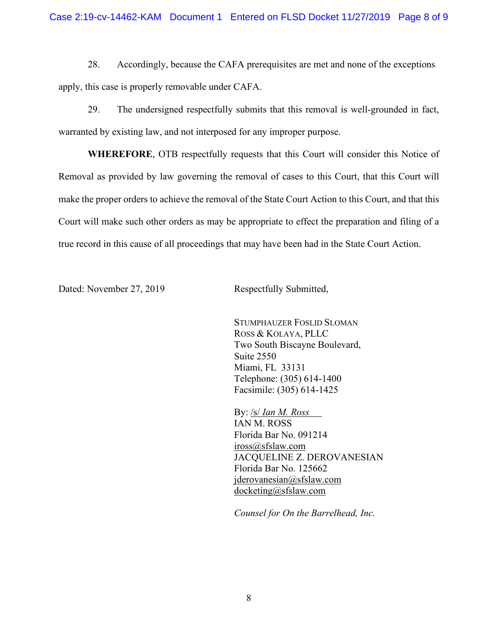28. Accordingly, because the CAFA prerequisites are met and none of the exceptions apply, this case is properly removable under CAFA.

29. The undersigned respectfully submits that this removal is well-grounded in fact, warranted by existing law, and not interposed for any improper purpose.

**WHEREFORE**, OTB respectfully requests that this Court will consider this Notice of Removal as provided by law governing the removal of cases to this Court, that this Court will make the proper orders to achieve the removal of the State Court Action to this Court, and that this Court will make such other orders as may be appropriate to effect the preparation and filing of a true record in this cause of all proceedings that may have been had in the State Court Action.

Dated: November 27, 2019 Respectfully Submitted,

STUMPHAUZER FOSLID SLOMAN ROSS & KOLAYA, PLLC Two South Biscayne Boulevard, Suite 2550 Miami, FL 33131 Telephone: (305) 614-1400 Facsimile: (305) 614-1425

By: /s/ *Ian M. Ross* IAN M. ROSS Florida Bar No. 091214 [iross@sfslaw.com](mailto:iross@sfslaw.com) JACQUELINE Z. DEROVANESIAN Florida Bar No. 125662 [jderovanesian@sfslaw.com](mailto:jderovanesian@sfslaw.com) [docketing@sfslaw.com](mailto:docketing@sfslaw.com)

*Counsel for On the Barrelhead, Inc.*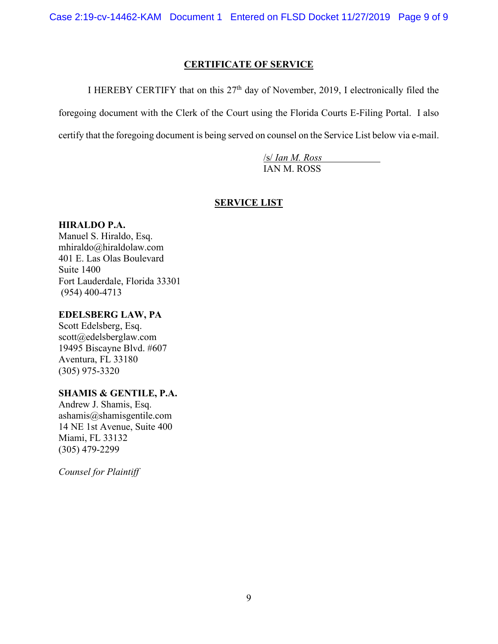# **CERTIFICATE OF SERVICE**

I HEREBY CERTIFY that on this  $27<sup>th</sup>$  day of November, 2019, I electronically filed the

foregoing document with the Clerk of the Court using the Florida Courts E-Filing Portal. I also

certify that the foregoing document is being served on counsel on the Service List below via e-mail.

/s/ *Ian M. Ross* IAN M. ROSS

# **SERVICE LIST**

# **HIRALDO P.A.**

Manuel S. Hiraldo, Esq. mhiraldo@hiraldolaw.com 401 E. Las Olas Boulevard Suite 1400 Fort Lauderdale, Florida 33301 (954) 400-4713

# **EDELSBERG LAW, PA**

Scott Edelsberg, Esq. scott@edelsberglaw.com 19495 Biscayne Blvd. #607 Aventura, FL 33180 (305) 975-3320

# **SHAMIS & GENTILE, P.A.**

Andrew J. Shamis, Esq. ashamis@shamisgentile.com 14 NE 1st Avenue, Suite 400 Miami, FL 33132 (305) 479-2299

*Counsel for Plaintiff*